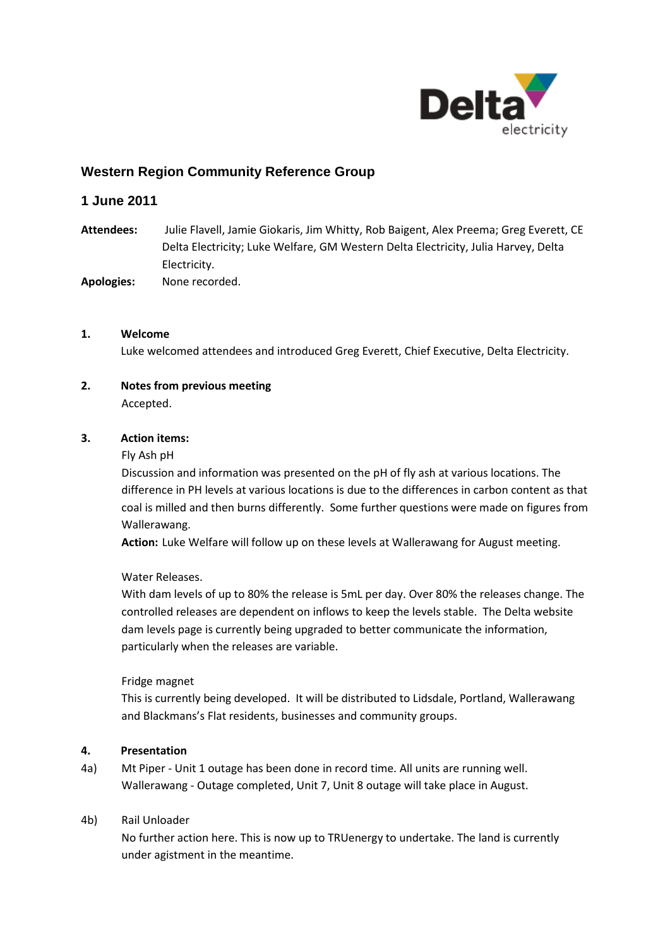

# **Western Region Community Reference Group**

## **1 June 2011**

- **Attendees:** Julie Flavell, Jamie Giokaris, Jim Whitty, Rob Baigent, Alex Preema; Greg Everett, CE Delta Electricity; Luke Welfare, GM Western Delta Electricity, Julia Harvey, Delta Electricity.
- **Apologies:** None recorded.

#### **1. Welcome**

Luke welcomed attendees and introduced Greg Everett, Chief Executive, Delta Electricity.

# **2. Notes from previous meeting**

Accepted.

#### **3. Action items:**

#### Fly Ash pH

Discussion and information was presented on the pH of fly ash at various locations. The difference in PH levels at various locations is due to the differences in carbon content as that coal is milled and then burns differently. Some further questions were made on figures from Wallerawang.

**Action:** Luke Welfare will follow up on these levels at Wallerawang for August meeting.

Water Releases.

With dam levels of up to 80% the release is 5mL per day. Over 80% the releases change. The controlled releases are dependent on inflows to keep the levels stable. The Delta website dam levels page is currently being upgraded to better communicate the information, particularly when the releases are variable.

#### Fridge magnet

This is currently being developed. It will be distributed to Lidsdale, Portland, Wallerawang and Blackmans's Flat residents, businesses and community groups.

#### **4. Presentation**

4a) Mt Piper - Unit 1 outage has been done in record time. All units are running well. Wallerawang - Outage completed, Unit 7, Unit 8 outage will take place in August.

#### 4b) Rail Unloader

No further action here. This is now up to TRUenergy to undertake. The land is currently under agistment in the meantime.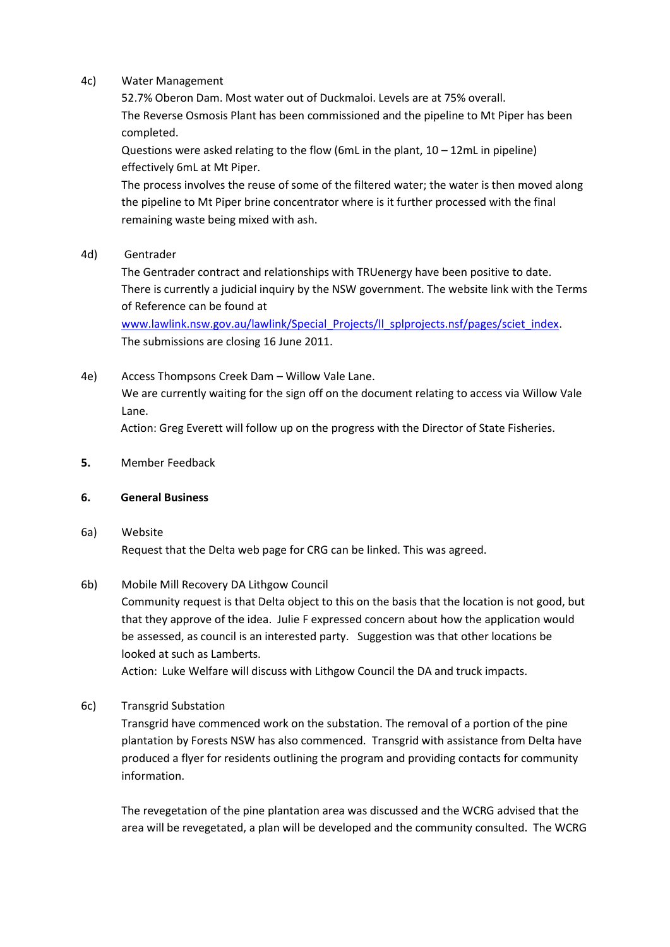#### 4c) Water Management

52.7% Oberon Dam. Most water out of Duckmaloi. Levels are at 75% overall. The Reverse Osmosis Plant has been commissioned and the pipeline to Mt Piper has been completed.

Questions were asked relating to the flow (6mL in the plant,  $10 - 12$ mL in pipeline) effectively 6mL at Mt Piper.

The process involves the reuse of some of the filtered water; the water is then moved along the pipeline to Mt Piper brine concentrator where is it further processed with the final remaining waste being mixed with ash.

4d) Gentrader

The Gentrader contract and relationships with TRUenergy have been positive to date. There is currently a judicial inquiry by the NSW government. The website link with the Terms of Reference can be found at

[www.lawlink.nsw.gov.au/lawlink/Special\\_Projects/ll\\_splprojects.nsf/pages/sciet\\_index.](http://www.lawlink.nsw.gov.au/lawlink/Special_Projects/ll_splprojects.nsf/pages/sciet_index) The submissions are closing 16 June 2011.

4e) Access Thompsons Creek Dam – Willow Vale Lane. We are currently waiting for the sign off on the document relating to access via Willow Vale Lane.

Action: Greg Everett will follow up on the progress with the Director of State Fisheries.

**5.** Member Feedback

### **6. General Business**

# 6a) Website Request that the Delta web page for CRG can be linked. This was agreed.

# 6b) Mobile Mill Recovery DA Lithgow Council

Community request is that Delta object to this on the basis that the location is not good, but that they approve of the idea. Julie F expressed concern about how the application would be assessed, as council is an interested party. Suggestion was that other locations be looked at such as Lamberts.

Action: Luke Welfare will discuss with Lithgow Council the DA and truck impacts.

6c) Transgrid Substation

Transgrid have commenced work on the substation. The removal of a portion of the pine plantation by Forests NSW has also commenced. Transgrid with assistance from Delta have produced a flyer for residents outlining the program and providing contacts for community information.

The revegetation of the pine plantation area was discussed and the WCRG advised that the area will be revegetated, a plan will be developed and the community consulted. The WCRG